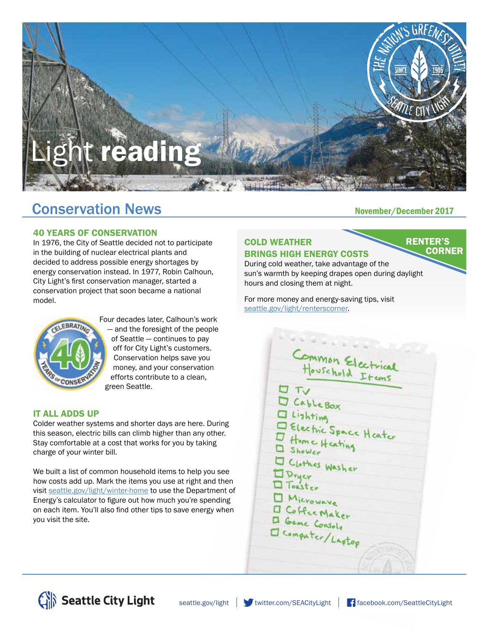

# Conservation News<br>
November/December 2017

### 40 YEARS OF CONSERVATION

In 1976, the City of Seattle decided not to participate in the building of nuclear electrical plants and decided to address possible energy shortages by energy conservation instead. In 1977, Robin Calhoun, City Light's first conservation manager, started a conservation project that soon became a national model.



Four decades later, Calhoun's work — and the foresight of the people of Seattle — continues to pay off for City Light's customers. Conservation helps save you money, and your conservation efforts contribute to a clean, green Seattle.

#### IT ALL ADDS UP

Colder weather systems and shorter days are here. During this season, electric bills can climb higher than any other. Stay comfortable at a cost that works for you by taking charge of your winter bill.

We built a list of common household items to help you see how costs add up. Mark the items you use at right and then visit seattle.gov/light/winter-home to use the Department of Energy's calculator to figure out how much you're spending on each item. You'll also find other tips to save energy when you visit the site.

#### COLD WEATHER BRINGS HIGH ENERGY COSTS

**RENTER'S CORNER** 

During cold weather, take advantage of the sun's warmth by keeping drapes open during daylight hours and closing them at night.

For more money and energy-saving tips, visit seattle.gov/light/renterscorner.

> ommon Electrical<br>Houschold Etems I Lishting<br>
> I Lishting<br>
> I Electric Space Heater<br>
> I Home Heating Clothes Wash D Microwave<br>D Game Console<br>D Computer/Lagtop